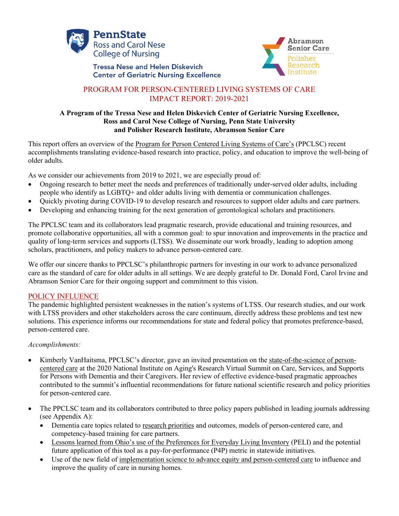

**Tressa Nese and Helen Diskevich Center of Geriatric Nursing Excellence** 



# PROGRAM FOR PERSON-CENTERED LIVING SYSTEMS OF CARE IMPACT REPORT: 2019-2021

#### **A Program of the Tressa Nese and Helen Diskevich Center of Geriatric Nursing Excellence, Ross and Carol Nese College of Nursing, Penn State University and Polisher Research Institute, Abramson Senior Care**

This report offers an overview of the Program for Person Centered Living Systems of Care's (PPCLSC) recent accomplishments translating evidence-based research into practice, policy, and education to improve the well-being of older adults.

As we consider our achievements from 2019 to 2021, we are especially proud of:

- Ongoing research to better meet the needs and preferences of traditionally under-served older adults, including people who identify as LGBTQ+ and older adults living with dementia or communication challenges.
- Quickly pivoting during COVID-19 to develop research and resources to support older adults and care partners.
- Developing and enhancing training for the next generation of gerontological scholars and practitioners.

The PPCLSC team and its collaborators lead pragmatic research, provide educational and training resources, and promote collaborative opportunities, all with a common goal: to spur innovation and improvements in the practice and quality of long-term services and supports (LTSS). We disseminate our work broadly, leading to adoption among scholars, practitioners, and policy makers to advance person-centered care.

We offer our sincere thanks to PPCLSC's philanthropic partners for investing in our work to advance personalized care as the standard of care for older adults in all settings. We are deeply grateful to Dr. Donald Ford, Carol Irvine and Abramson Senior Care for their ongoing support and commitment to this vision.

#### POLICY INFLUENCE

The pandemic highlighted persistent weaknesses in the nation's systems of LTSS. Our research studies, and our work with LTSS providers and other stakeholders across the care continuum, directly address these problems and test new solutions. This experience informs our recommendations for state and federal policy that promotes preference-based, person-centered care.

#### *Accomplishments:*

- Kimberly VanHaitsma, PPCLSC's director, gave an invited presentation on the state-of-the-science of personcentered care at the 2020 National Institute on Aging's Research Virtual Summit on Care, Services, and Supports for Persons with Dementia and their Caregivers. Her review of effective evidence-based pragmatic approaches contributed to the summit's influential recommendations for future national scientific research and policy priorities for person-centered care.
- The PPCLSC team and its collaborators contributed to three policy papers published in leading journals addressing (see Appendix A):
	- Dementia care topics related to research priorities and outcomes, models of person-centered care, and competency-based training for care partners.
	- Lessons learned from Ohio's use of the Preferences for Everyday Living Inventory (PELI) and the potential future application of this tool as a pay-for-performance (P4P) metric in statewide initiatives.
	- Use of the new field of implementation science to advance equity and person-centered care to influence and improve the quality of care in nursing homes.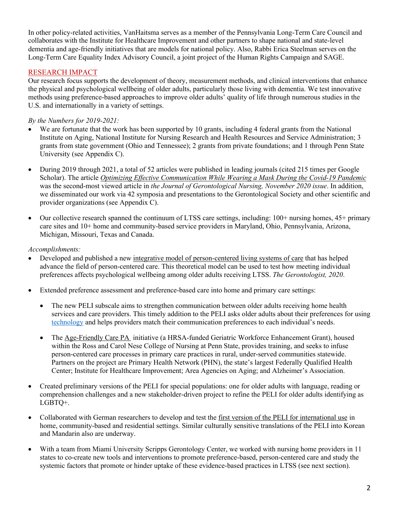In other policy-related activities, VanHaitsma serves as a member of the Pennsylvania Long-Term Care Council and collaborates with the Institute for Healthcare Improvement and other partners to shape national and state-level dementia and age-friendly initiatives that are models for national policy. Also, Rabbi Erica Steelman serves on the Long-Term Care Equality Index Advisory Council, a joint project of the Human Rights Campaign and SAGE.

# RESEARCH IMPACT

Our research focus supports the development of theory, measurement methods, and clinical interventions that enhance the physical and psychological wellbeing of older adults, particularly those living with dementia. We test innovative methods using preference-based approaches to improve older adults' quality of life through numerous studies in the U.S. and internationally in a variety of settings.

### *By the Numbers for 2019-2021:*

- We are fortunate that the work has been supported by 10 grants, including 4 federal grants from the National Institute on Aging, National Institute for Nursing Research and Health Resources and Service Administration; 3 grants from state government (Ohio and Tennessee); 2 grants from private foundations; and 1 through Penn State University (see Appendix C).
- During 2019 through 2021, a total of 52 articles were published in leading journals (cited 215 times per Google Scholar). The article *Optimizing Effective Communication While Wearing a Mask During the Covid-19 Pandemic* was the second-most viewed article in *the Journal of Gerontological Nursing, November 2020 issue*. In addition, we disseminated our work via 42 symposia and presentations to the Gerontological Society and other scientific and provider organizations (see Appendix C).
- Our collective research spanned the continuum of LTSS care settings, including:  $100+$  nursing homes,  $45+$  primary care sites and 10+ home and community-based service providers in Maryland, Ohio, Pennsylvania, Arizona, Michigan, Missouri, Texas and Canada.

#### *Accomplishments:*

- Developed and published a new integrative model of person-centered living systems of care that has helped advance the field of person-centered care. This theoretical model can be used to test how meeting individual preferences affects psychological wellbeing among older adults receiving LTSS. *The Gerontologist, 2020*.
- Extended preference assessment and preference-based care into home and primary care settings:
	- The new PELI subscale aims to strengthen communication between older adults receiving home health services and care providers. This timely addition to the PELI asks older adults about their preferences for using technology and helps providers match their communication preferences to each individual's needs.
	- The Age-Friendly Care PA initiative (a HRSA-funded Geriatric Workforce Enhancement Grant), housed within the Ross and Carol Nese College of Nursing at Penn State, provides training, and seeks to infuse person-centered care processes in primary care practices in rural, under-served communities statewide. Partners on the project are Primary Health Network (PHN), the state's largest Federally Qualified Health Center; Institute for Healthcare Improvement; Area Agencies on Aging; and Alzheimer's Association.
- Created preliminary versions of the PELI for special populations: one for older adults with language, reading or comprehension challenges and a new stakeholder-driven project to refine the PELI for older adults identifying as LGBTQ+.
- Collaborated with German researchers to develop and test the first version of the PELI for international use in home, community-based and residential settings. Similar culturally sensitive translations of the PELI into Korean and Mandarin also are underway.
- With a team from Miami University Scripps Gerontology Center, we worked with nursing home providers in 11 states to co-create new tools and interventions to promote preference-based, person-centered care and study the systemic factors that promote or hinder uptake of these evidence-based practices in LTSS (see next section).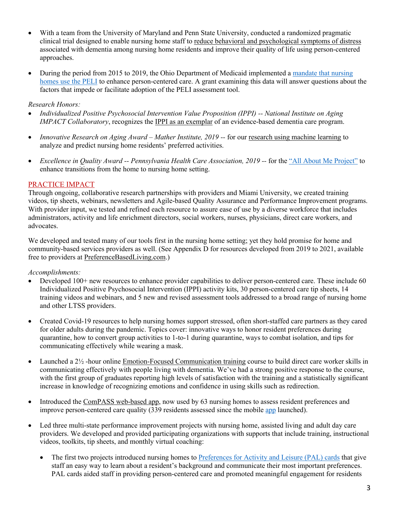- With a team from the University of Maryland and Penn State University, conducted a randomized pragmatic clinical trial designed to enable nursing home staff to reduce behavioral and psychological symptoms of distress associated with dementia among nursing home residents and improve their quality of life using person-centered approaches.
- During the period from 2015 to 2019, the Ohio Department of Medicaid implemented a mandate that nursing homes use the PELI to enhance person-centered care. A grant examining this data will answer questions about the factors that impede or facilitate adoption of the PELI assessment tool.

#### *Research Honors:*

- *Individualized Positive Psychosocial Intervention Value Proposition (IPPI) -- National Institute on Aging IMPACT Collaboratory*, recognizes the IPPI as an exemplar of an evidence-based dementia care program.
- *Innovative Research on Aging Award – Mather Institute, 2019 --* for our research using machine learning to analyze and predict nursing home residents' preferred activities.
- *Excellence in Quality Award -- Pennsylvania Health Care Association, 2019 --* for the "All About Me Project" to enhance transitions from the home to nursing home setting.

### PRACTICE IMPACT

Through ongoing, collaborative research partnerships with providers and Miami University, we created training videos, tip sheets, webinars, newsletters and Agile-based Quality Assurance and Performance Improvement programs. With provider input, we tested and refined each resource to assure ease of use by a diverse workforce that includes administrators, activity and life enrichment directors, social workers, nurses, physicians, direct care workers, and advocates.

We developed and tested many of our tools first in the nursing home setting; yet they hold promise for home and community-based services providers as well. (See Appendix D for resources developed from 2019 to 2021, available free to providers at PreferenceBasedLiving.com.)

*Accomplishments:*

- Developed 100+ new resources to enhance provider capabilities to deliver person-centered care. These include 60 Individualized Positive Psychosocial Intervention (IPPI) activity kits, 30 person-centered care tip sheets, 14 training videos and webinars, and 5 new and revised assessment tools addressed to a broad range of nursing home and other LTSS providers.
- Created Covid-19 resources to help nursing homes support stressed, often short-staffed care partners as they cared for older adults during the pandemic. Topics cover: innovative ways to honor resident preferences during quarantine, how to convert group activities to 1-to-1 during quarantine, ways to combat isolation, and tips for communicating effectively while wearing a mask.
- Launched a 2½ -hour online Emotion-Focused Communication training course to build direct care worker skills in communicating effectively with people living with dementia. We've had a strong positive response to the course, with the first group of graduates reporting high levels of satisfaction with the training and a statistically significant increase in knowledge of recognizing emotions and confidence in using skills such as redirection.
- Introduced the ComPASS web-based app, now used by 63 nursing homes to assess resident preferences and improve person-centered care quality (339 residents assessed since the mobile app launched).
- Led three multi-state performance improvement projects with nursing home, assisted living and adult day care providers. We developed and provided participating organizations with supports that include training, instructional videos, toolkits, tip sheets, and monthly virtual coaching:
	- The first two projects introduced nursing homes to Preferences for Activity and Leisure (PAL) cards that give staff an easy way to learn about a resident's background and communicate their most important preferences. PAL cards aided staff in providing person-centered care and promoted meaningful engagement for residents